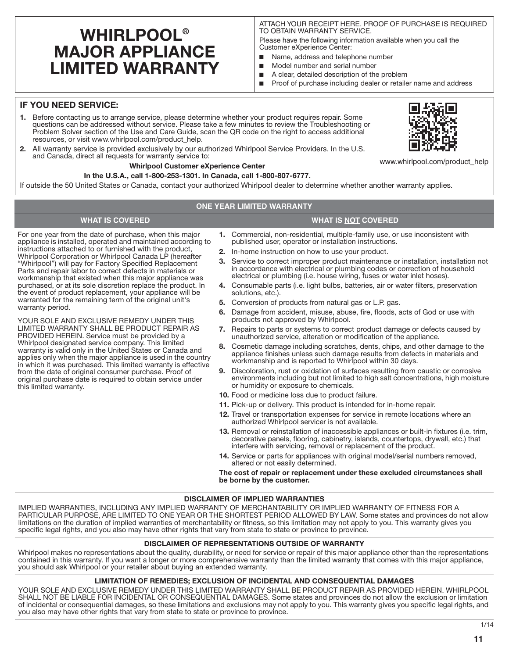# **WHIRLPOOL® MAJOR APPLIANCE LIMITED WARRANTY**

ATTACH YOUR RECEIPT HERE. PROOF OF PURCHASE IS REQUIRED TO OBTAIN WARRANTY SERVICE.

Please have the following information available when you call the Customer eXperience Center:

- Name, address and telephone number
- Model number and serial number
- A clear, detailed description of the problem
- Proof of purchase including dealer or retailer name and address

## **IF YOU NEED SERVICE:**

- **1.** Before contacting us to arrange service, please determine whether your product requires repair. Some questions can be addressed without service. Please take a few minutes to review the Troubleshooting or Problem Solver section of the Use and Care Guide, scan the QR code on the right to access additional resources, or visit www.whirlpool.com/product\_help.
- **2.** All warranty service is provided exclusively by our authorized Whirlpool Service Providers. In the U.S. and Canada, direct all requests for warranty service to:

#### **Whirlpool Customer eXperience Center**

#### **In the U.S.A., call 1-800-253-1301. In Canada, call 1-800-807-6777.**

If outside the 50 United States or Canada, contact your authorized Whirlpool dealer to determine whether another warranty applies.

#### **ONE YEAR LIMITED WARRANTY**

## **WHAT IS COVERED WHAT IS NOT COVERED**

For one year from the date of purchase, when this major appliance is installed, operated and maintained according to instructions attached to or furnished with the product, Whirlpool Corporation or Whirlpool Canada LP (hereafter "Whirlpool") will pay for Factory Specified Replacement Parts and repair labor to correct defects in materials or workmanship that existed when this major appliance was purchased, or at its sole discretion replace the product. In the event of product replacement, your appliance will be warranted for the remaining term of the original unit's warranty period.

YOUR SOLE AND EXCLUSIVE REMEDY UNDER THIS LIMITED WARRANTY SHALL BE PRODUCT REPAIR AS PROVIDED HEREIN. Service must be provided by a Whirlpool designated service company. This limited warranty is valid only in the United States or Canada and applies only when the major appliance is used in the country in which it was purchased. This limited warranty is effective from the date of original consumer purchase. Proof of original purchase date is required to obtain service under this limited warranty.

- **1.** Commercial, non-residential, multiple-family use, or use inconsistent with published user, operator or installation instructions.
- **2.** In-home instruction on how to use your product.
- **3.** Service to correct improper product maintenance or installation, installation not in accordance with electrical or plumbing codes or correction of household electrical or plumbing (i.e. house wiring, fuses or water inlet hoses).
- **4.** Consumable parts (i.e. light bulbs, batteries, air or water filters, preservation solutions, etc.).
- **5.** Conversion of products from natural gas or L.P. gas.
- **6.** Damage from accident, misuse, abuse, fire, floods, acts of God or use with products not approved by Whirlpool.
- **7.** Repairs to parts or systems to correct product damage or defects caused by unauthorized service, alteration or modification of the appliance.
- **8.** Cosmetic damage including scratches, dents, chips, and other damage to the appliance finishes unless such damage results from defects in materials and workmanship and is reported to Whirlpool within 30 days.
- **9.** Discoloration, rust or oxidation of surfaces resulting from caustic or corrosive environments including but not limited to high salt concentrations, high moisture or humidity or exposure to chemicals.
- **10.** Food or medicine loss due to product failure.
- **11.** Pick-up or delivery. This product is intended for in-home repair.
- **12.** Travel or transportation expenses for service in remote locations where an authorized Whirlpool servicer is not available.
- **13.** Removal or reinstallation of inaccessible appliances or built-in fixtures (i.e. trim, decorative panels, flooring, cabinetry, islands, countertops, drywall, etc.) that interfere with servicing, removal or replacement of the product.
- **14.** Service or parts for appliances with original model/serial numbers removed, altered or not easily determined.

**The cost of repair or replacement under these excluded circumstances shall be borne by the customer.** 

#### **DISCLAIMER OF IMPLIED WARRANTIES**

IMPLIED WARRANTIES, INCLUDING ANY IMPLIED WARRANTY OF MERCHANTABILITY OR IMPLIED WARRANTY OF FITNESS FOR A PARTICULAR PURPOSE, ARE LIMITED TO ONE YEAR OR THE SHORTEST PERIOD ALLOWED BY LAW. Some states and provinces do not allow limitations on the duration of implied warranties of merchantability or fitness, so this limitation may not apply to you. This warranty gives you specific legal rights, and you also may have other rights that vary from state to state or province to province.

#### **DISCLAIMER OF REPRESENTATIONS OUTSIDE OF WARRANTY**

Whirlpool makes no representations about the quality, durability, or need for service or repair of this major appliance other than the representations contained in this warranty. If you want a longer or more comprehensive warranty than the limited warranty that comes with this major appliance, you should ask Whirlpool or your retailer about buying an extended warranty.

#### **LIMITATION OF REMEDIES; EXCLUSION OF INCIDENTAL AND CONSEQUENTIAL DAMAGES**

YOUR SOLE AND EXCLUSIVE REMEDY UNDER THIS LIMITED WARRANTY SHALL BE PRODUCT REPAIR AS PROVIDED HEREIN. WHIRLPOOL SHALL NOT BE LIABLE FOR INCIDENTAL OR CONSEQUENTIAL DAMAGES. Some states and provinces do not allow the exclusion or limitation of incidental or consequential damages, so these limitations and exclusions may not apply to you. This warranty gives you specific legal rights, and you also may have other rights that vary from state to state or province to province.



www.whirlpool.com/product\_help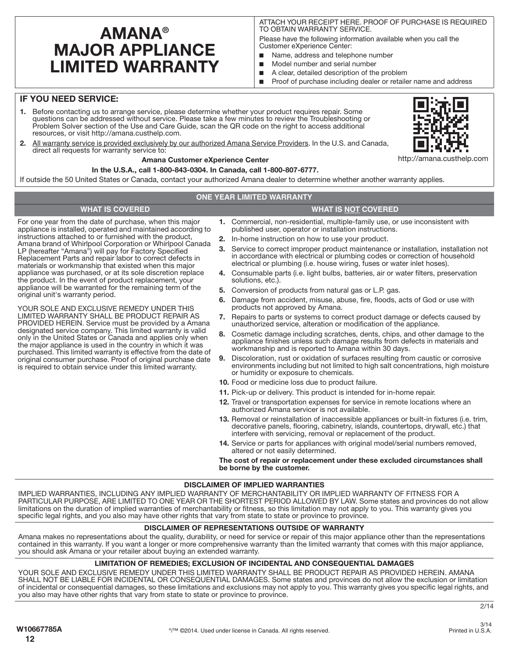# **AMANA® MAJOR APPLIANCE LIMITED WARRANTY**

For one year from the date of purchase, when this major appliance is installed, operated and maintained according to instructions attached to or furnished with the product, Amana brand of Whirlpool Corporation or Whirlpool Canada LP (hereafter "Amana") will pay for Factory Specified Replacement Parts and repair labor to correct defects in materials or workmanship that existed when this major appliance was purchased, or at its sole discretion replace the product. In the event of product replacement, your appliance will be warranted for the remaining term of the

YOUR SOLE AND EXCLUSIVE REMEDY UNDER THIS LIMITED WARRANTY SHALL BE PRODUCT REPAIR AS PROVIDED HEREIN. Service must be provided by a Amana designated service company. This limited warranty is valid only in the United States or Canada and applies only when the major appliance is used in the country in which it was purchased. This limited warranty is effective from the date of original consumer purchase. Proof of original purchase date is required to obtain service under this limited warranty.

ATTACH YOUR RECEIPT HERE. PROOF OF PURCHASE IS REQUIRED TO OBTAIN WARRANTY SERVICE.

Please have the following information available when you call the Customer eXperience Center:

- Name, address and telephone number
- Model number and serial number
- A clear, detailed description of the problem
- Proof of purchase including dealer or retailer name and address

### **IF YOU NEED SERVICE:**

original unit's warranty period.

- **1.** Before contacting us to arrange service, please determine whether your product requires repair. Some questions can be addressed without service. Please take a few minutes to review the Troubleshooting or Problem Solver section of the Use and Care Guide, scan the QR code on the right to access additional resources, or visit http://amana.custhelp.com.
- **2.** All warranty service is provided exclusively by our authorized Amana Service Providers. In the U.S. and Canada, direct all requests for warranty service to:

#### **Amana Customer eXperience Center**

#### **In the U.S.A., call 1-800-843-0304. In Canada, call 1-800-807-6777.**

If outside the 50 United States or Canada, contact your authorized Amana dealer to determine whether another warranty applies.

#### **ONE YEAR LIMITED WARRANTY**

## **WHAT IS COVERED WHAT IS NOT COVERED**

- **1.** Commercial, non-residential, multiple-family use, or use inconsistent with published user, operator or installation instructions.
- **2.** In-home instruction on how to use your product.
- **3.** Service to correct improper product maintenance or installation, installation not in accordance with electrical or plumbing codes or correction of household electrical or plumbing (i.e. house wiring, fuses or water inlet hoses).
- **4.** Consumable parts (i.e. light bulbs, batteries, air or water filters, preservation solutions, etc.).
- **5.** Conversion of products from natural gas or L.P. gas.
- **6.** Damage from accident, misuse, abuse, fire, floods, acts of God or use with products not approved by Amana.
- **7.** Repairs to parts or systems to correct product damage or defects caused by unauthorized service, alteration or modification of the appliance.
- **8.** Cosmetic damage including scratches, dents, chips, and other damage to the appliance finishes unless such damage results from defects in materials and workmanship and is reported to Amana within 30 days.
- **9.** Discoloration, rust or oxidation of surfaces resulting from caustic or corrosive environments including but not limited to high salt concentrations, high moisture or humidity or exposure to chemicals.
- **10.** Food or medicine loss due to product failure.
- **11.** Pick-up or delivery. This product is intended for in-home repair.
- **12.** Travel or transportation expenses for service in remote locations where an authorized Amana servicer is not available.
- **13.** Removal or reinstallation of inaccessible appliances or built-in fixtures (i.e. trim, decorative panels, flooring, cabinetry, islands, countertops, drywall, etc.) that interfere with servicing, removal or replacement of the product.
- **14.** Service or parts for appliances with original model/serial numbers removed, altered or not easily determined.

**The cost of repair or replacement under these excluded circumstances shall be borne by the customer.** 

#### **DISCLAIMER OF IMPLIED WARRANTIES**

IMPLIED WARRANTIES, INCLUDING ANY IMPLIED WARRANTY OF MERCHANTABILITY OR IMPLIED WARRANTY OF FITNESS FOR A PARTICULAR PURPOSE, ARE LIMITED TO ONE YEAR OR THE SHORTEST PERIOD ALLOWED BY LAW. Some states and provinces do not allow limitations on the duration of implied warranties of merchantability or fitness, so this limitation may not apply to you. This warranty gives you specific legal rights, and you also may have other rights that vary from state to state or province to province.

## **DISCLAIMER OF REPRESENTATIONS OUTSIDE OF WARRANTY**

Amana makes no representations about the quality, durability, or need for service or repair of this major appliance other than the representations contained in this warranty. If you want a longer or more comprehensive warranty than the limited warranty that comes with this major appliance, you should ask Amana or your retailer about buying an extended warranty.

#### **LIMITATION OF REMEDIES; EXCLUSION OF INCIDENTAL AND CONSEQUENTIAL DAMAGES**

YOUR SOLE AND EXCLUSIVE REMEDY UNDER THIS LIMITED WARRANTY SHALL BE PRODUCT REPAIR AS PROVIDED HEREIN. AMANA SHALL NOT BE LIABLE FOR INCIDENTAL OR CONSEQUENTIAL DAMAGES. Some states and provinces do not allow the exclusion or limitation of incidental or consequential damages, so these limitations and exclusions may not apply to you. This warranty gives you specific legal rights, and you also may have other rights that vary from state to state or province to province.

 $2/14$ 

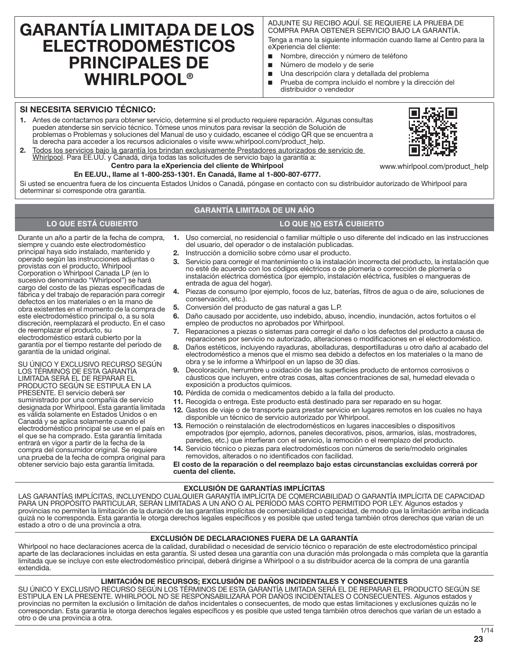# **GARANTÍA LIMITADA DE LOS ELECTRODOMÉSTICOS PRINCIPALES DE WHIRLPOOL®**

ADJUNTE SU RECIBO AQUÍ. SE REQUIERE LA PRUEBA DE COMPRA PARA OBTENER SERVICIO BAJO LA GARANTÍA. Tenga a mano la siguiente información cuando llame al Centro para la eXperiencia del cliente:

- Nombre, dirección y número de teléfono
- Número de modelo y de serie
- Una descripción clara y detallada del problema
- Prueba de compra incluido el nombre y la dirección del distribuidor o vendedor

### **SI NECESITA SERVICIO TÉCNICO:**

- **1.** Antes de contactarnos para obtener servicio, determine si el producto requiere reparación. Algunas consultas pueden atenderse sin servicio técnico. Tómese unos minutos para revisar la sección de Solución de problemas o Problemas y soluciones del Manual de uso y cuidado, escanee el código QR que se encuentra a la derecha para acceder a los recursos adicionales o visite www.whirlpool.com/product\_help.
- **2.** Todos los servicios bajo la garantía los brindan exclusivamente Prestadores autorizados de servicio de Whirlpool. Para EE.UU. y Canadá, dirija todas las solicitudes de servicio bajo la garantía a: **Centro para la eXperiencia del cliente de Whirlpool**

## **En EE.UU., llame al 1-800-253-1301. En Canadá, llame al 1-800-807-6777.**

Si usted se encuentra fuera de los cincuenta Estados Unidos o Canadá, póngase en contacto con su distribuidor autorizado de Whirlpool para determinar si corresponde otra garantía.

## **GARANTÍA LIMITADA DE UN AÑO**

## **LO QUE ESTÁ CUBIERTO LO QUE NO ESTÁ CUBIERTO**

Durante un año a partir de la fecha de compra, siempre y cuando este electrodoméstico principal haya sido instalado, mantenido y operado según las instrucciones adjuntas o provistas con el producto, Whirlpool Corporation o Whirlpool Canada LP (en lo sucesivo denominado "Whirlpool") se hará cargo del costo de las piezas especificadas de fábrica y del trabajo de reparación para corregir defectos en los materiales o en la mano de obra existentes en el momento de la compra de este electrodoméstico principal o, a su sola discreción, reemplazará el producto. En el caso de reemplazar el producto, su electrodoméstico estará cubierto por la garantía por el tiempo restante del período de garantía de la unidad original.

SU ÚNICO Y EXCLUSIVO RECURSO SEGÚN LOS TÉRMINOS DE ESTA GARANTÍA LIMITADA SERÁ EL DE REPARAR EL PRODUCTO SEGÚN SE ESTIPULA EN LA PRESENTE. El servicio deberá ser suministrado por una compañía de servicio designada por Whirlpool. Esta garantía limitada es válida solamente en Estados Unidos o en Canadá y se aplica solamente cuando el electrodoméstico principal se use en el país en el que se ha comprado. Esta garantía limitada entrará en vigor a partir de la fecha de la compra del consumidor original. Se requiere una prueba de la fecha de compra original para obtener servicio bajo esta garantía limitada.

- **1.** Uso comercial, no residencial o familiar múltiple o uso diferente del indicado en las instrucciones del usuario, del operador o de instalación publicadas.
- **2.** Instrucción a domicilio sobre cómo usar el producto.
- **3.** Servicio para corregir el mantenimiento o la instalación incorrecta del producto, la instalación que no esté de acuerdo con los códigos eléctricos o de plomería o corrección de plomería o instalación eléctrica doméstica (por ejemplo, instalación eléctrica, fusibles o mangueras de entrada de agua del hogar).
- **4.** Piezas de consumo (por ejemplo, focos de luz, baterías, filtros de agua o de aire, soluciones de conservación, etc.).
- **5.** Conversión del producto de gas natural a gas L.P.
- **6.** Daño causado por accidente, uso indebido, abuso, incendio, inundación, actos fortuitos o el empleo de productos no aprobados por Whirlpool.
- **7.** Reparaciones a piezas o sistemas para corregir el daño o los defectos del producto a causa de reparaciones por servicio no autorizado, alteraciones o modificaciones en el electrodoméstico.
- **8.** Daños estéticos, incluyendo rayaduras, abolladuras, desportilladuras u otro daño al acabado del electrodoméstico a menos que el mismo sea debido a defectos en los materiales o la mano de obra y se le informe a Whirlpool en un lapso de 30 días.
- **9.** Decoloración, herrumbre u oxidación de las superficies producto de entornos corrosivos o cáusticos que incluyen, entre otras cosas, altas concentraciones de sal, humedad elevada o exposición a productos químicos.
- **10.** Pérdida de comida o medicamentos debido a la falla del producto.
- **11.** Recogida o entrega. Este producto está destinado para ser reparado en su hogar.
- **12.** Gastos de viaje o de transporte para prestar servicio en lugares remotos en los cuales no haya disponible un técnico de servicio autorizado por Whirlpool.
- **13.** Remoción o reinstalación de electrodomésticos en lugares inaccesibles o dispositivos empotrados (por ejemplo, adornos, paneles decorativos, pisos, armarios, islas, mostradores, paredes, etc.) que interfieran con el servicio, la remoción o el reemplazo del producto.
- **14.** Servicio técnico o piezas para electrodomésticos con números de serie/modelo originales removidos, alterados o no identificados con facilidad.

#### **El costo de la reparación o del reemplazo bajo estas circunstancias excluidas correrá por cuenta del cliente.**

#### **EXCLUSIÓN DE GARANTÍAS IMPLÍCITAS**

LAS GARANTÍAS IMPLÍCITAS, INCLUYENDO CUALQUIER GARANTÍA IMPLÍCITA DE COMERCIABILIDAD O GARANTÍA IMPLÍCITA DE CAPACIDAD PARA UN PROPÓSITO PARTICULAR, SERÁN LIMITADAS A UN AÑO O AL PERÍODO MÁS CORTO PERMITIDO POR LEY. Algunos estados y provincias no permiten la limitación de la duración de las garantías implícitas de comerciabilidad o capacidad, de modo que la limitación arriba indicada quizá no le corresponda. Esta garantía le otorga derechos legales específicos y es posible que usted tenga también otros derechos que varían de un estado a otro o de una provincia a otra.

## **EXCLUSIÓN DE DECLARACIONES FUERA DE LA GARANTÍA**

Whirlpool no hace declaraciones acerca de la calidad, durabilidad o necesidad de servicio técnico o reparación de este electrodoméstico principal aparte de las declaraciones incluidas en esta garantía. Si usted desea una garantía con una duración más prolongada o más completa que la garantía limitada que se incluye con este electrodoméstico principal, deberá dirigirse a Whirlpool o a su distribuidor acerca de la compra de una garantía extendida.

#### **LIMITACIÓN DE RECURSOS; EXCLUSIÓN DE DAÑOS INCIDENTALES Y CONSECUENTES**

SU ÚNICO Y EXCLUSIVO RECURSO SEGÚN LOS TÉRMINOS DE ESTA GARANTÍA LIMITADA SERÁ EL DE REPARAR EL PRODUCTO SEGÚN SE ESTIPULA EN LA PRESENTE. WHIRLPOOL NO SE RESPONSABILIZARÁ POR DAÑOS INCIDENTALES O CONSECUENTES. Algunos estados y provincias no permiten la exclusión o limitación de daños incidentales o consecuentes, de modo que estas limitaciones y exclusiones quizás no le correspondan. Esta garantía le otorga derechos legales específicos y es posible que usted tenga también otros derechos que varían de un estado a otro o de una provincia a otra.



www.whirlpool.com/product\_help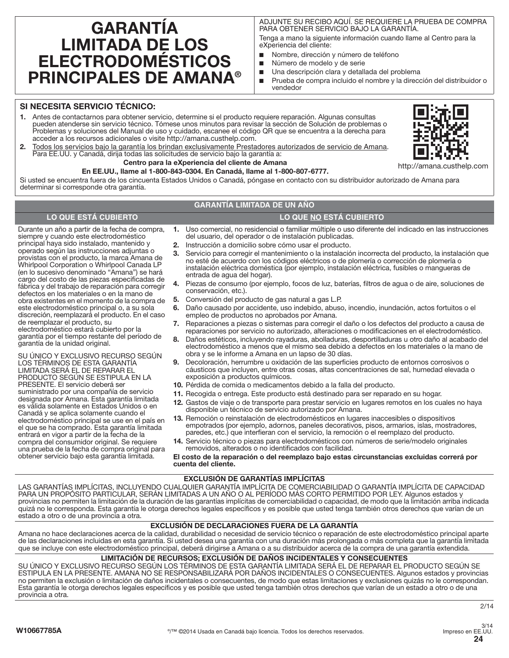# **GARANTÍA LIMITADA DE LOS ELECTRODOMÉSTICOS PRINCIPALES DE AMANA®**

ADJUNTE SU RECIBO AQUÍ. SE REQUIERE LA PRUEBA DE COMPRA PARA OBTENER SERVICIO BAJO LA GARANTÍA.

Tenga a mano la siguiente información cuando llame al Centro para la eXperiencia del cliente:

- Nombre, dirección y número de teléfono
- Número de modelo y de serie
- Una descripción clara y detallada del problema
- Prueba de compra incluido el nombre y la dirección del distribuidor o vendedor

## **SI NECESITA SERVICIO TÉCNICO:**

**1.** Antes de contactarnos para obtener servicio, determine si el producto requiere reparación. Algunas consultas pueden atenderse sin servicio técnico. Tómese unos minutos para revisar la sección de Solución de problemas o Problemas y soluciones del Manual de uso y cuidado, escanee el código QR que se encuentra a la derecha para acceder a los recursos adicionales o visite http://amana.custhelp.com.



**2.** Todos los servicios bajo la garantía los brindan exclusivamente Prestadores autorizados de servicio de Amana. Para EE.UU. y Canadá, dirija todas las solicitudes de servicio bajo la garantía a: **Centro para la eXperiencia del cliente de Amana**

## **En EE.UU., llame al 1-800-843-0304. En Canadá, llame al 1-800-807-6777.**

Si usted se encuentra fuera de los cincuenta Estados Unidos o Canadá, póngase en contacto con su distribuidor autorizado de Amana para determinar si corresponde otra garantía.

## **GARANTÍA LIMITADA DE UN AÑO**

#### **LO QUE ESTÁ CUBIERTO LO QUE NO ESTÁ CUBIERTO**

- Durante un año a partir de la fecha de compra, operado según las instrucciones adjuntas o **1.** Uso comercial, no residencial o familiar múltiple o uso diferente del indicado en las instrucciones del usuario, del operador o de instalación publicadas. **2.** Instrucción a domicilio sobre cómo usar el producto.
	- **3.** Servicio para corregir el mantenimiento o la instalación incorrecta del producto, la instalación que no esté de acuerdo con los códigos eléctricos o de plomería o corrección de plomería o instalación eléctrica doméstica (por ejemplo, instalación eléctrica, fusibles o mangueras de entrada de agua del hogar).
	- **4.** Piezas de consumo (por ejemplo, focos de luz, baterías, filtros de agua o de aire, soluciones de conservación, etc.).
	- **5.** Conversión del producto de gas natural a gas L.P.
	- **6.** Daño causado por accidente, uso indebido, abuso, incendio, inundación, actos fortuitos o el empleo de productos no aprobados por Amana.
	- **7.** Reparaciones a piezas o sistemas para corregir el daño o los defectos del producto a causa de reparaciones por servicio no autorizado, alteraciones o modificaciones en el electrodoméstico.
	- **8.** Daños estéticos, incluyendo rayaduras, abolladuras, desportilladuras u otro daño al acabado del electrodoméstico a menos que el mismo sea debido a defectos en los materiales o la mano de obra y se le informe a Amana en un lapso de 30 días.
	- **9.** Decoloración, herrumbre u oxidación de las superficies producto de entornos corrosivos o cáusticos que incluyen, entre otras cosas, altas concentraciones de sal, humedad elevada o exposición a productos químicos.
	- **10.** Pérdida de comida o medicamentos debido a la falla del producto.
	- **11.** Recogida o entrega. Este producto está destinado para ser reparado en su hogar.
	- **12.** Gastos de viaje o de transporte para prestar servicio en lugares remotos en los cuales no haya disponible un técnico de servicio autorizado por Amana.
	- **13.** Remoción o reinstalación de electrodomésticos en lugares inaccesibles o dispositivos empotrados (por ejemplo, adornos, paneles decorativos, pisos, armarios, islas, mostradores, paredes, etc.) que interfieran con el servicio, la remoción o el reemplazo del producto.
	- **14.** Servicio técnico o piezas para electrodomésticos con números de serie/modelo originales removidos, alterados o no identificados con facilidad.

**El costo de la reparación o del reemplazo bajo estas circunstancias excluidas correrá por cuenta del cliente.** 

#### **EXCLUSIÓN DE GARANTÍAS IMPLÍCITAS**

LAS GARANTÍAS IMPLÍCITAS, INCLUYENDO CUALQUIER GARANTÍA IMPLÍCITA DE COMERCIABILIDAD O GARANTÍA IMPLÍCITA DE CAPACIDAD PARA UN PROPÓSITO PARTICULAR, SERÁN LIMITADAS A UN AÑO O AL PERÍODO MÁS CORTO PERMITIDO POR LEY. Algunos estados y provincias no permiten la limitación de la duración de las garantías implícitas de comerciabilidad o capacidad, de modo que la limitación arriba indicada quizá no le corresponda. Esta garantía le otorga derechos legales específicos y es posible que usted tenga también otros derechos que varían de un estado a otro o de una provincia a otra.

## **EXCLUSIÓN DE DECLARACIONES FUERA DE LA GARANTÍA**

Amana no hace declaraciones acerca de la calidad, durabilidad o necesidad de servicio técnico o reparación de este electrodoméstico principal aparte de las declaraciones incluidas en esta garantía. Si usted desea una garantía con una duración más prolongada o más completa que la garantía limitada que se incluye con este electrodoméstico principal, deberá dirigirse a Amana o a su distribuidor acerca de la compra de una garantía extendida.

#### **LIMITACIÓN DE RECURSOS; EXCLUSIÓN DE DAÑOS INCIDENTALES Y CONSECUENTES**

SU ÚNICO Y EXCLUSIVO RECURSO SEGÚN LOS TÉRMINOS DE ESTA GARANTÍA LIMITADA SERÁ EL DE REPARAR EL PRODUCTO SEGÚN SE ESTIPULA EN LA PRESENTE. AMANA NO SE RESPONSABILIZARÁ POR DAÑOS INCIDENTALES O CONSECUENTES. Algunos estados y provincias no permiten la exclusión o limitación de daños incidentales o consecuentes, de modo que estas limitaciones y exclusiones quizás no le correspondan. Esta garantía le otorga derechos legales específicos y es posible que usted tenga también otros derechos que varían de un estado a otro o de una provincia a otra.

defectos en los materiales o en la mano de obra existentes en el momento de la compra de este electrodoméstico principal o, a su sola discreción, reemplazará el producto. En el caso de reemplazar el producto, su electrodoméstico estará cubierto por la garantía por el tiempo restante del período de garantía de la unidad original. SU ÚNICO Y EXCLUSIVO RECURSO SEGÚN LOS TÉRMINOS DE ESTA GARANTÍA LIMITADA SERÁ EL DE REPARAR EL PRODUCTO SEGÚN SE ESTIPULA EN LA

siempre y cuando este electrodoméstico principal haya sido instalado, mantenido y

provistas con el producto, la marca Amana de Whirlpool Corporation o Whirlpool Canada LP (en lo sucesivo denominado "Amana") se hará cargo del costo de las piezas especificadas de fábrica y del trabajo de reparación para corregir

PRESENTE. El servicio deberá ser suministrado por una compañía de servicio designada por Amana. Esta garantía limitada es válida solamente en Estados Unidos o en Canadá y se aplica solamente cuando el electrodoméstico principal se use en el país en el que se ha comprado. Esta garantía limitada entrará en vigor a partir de la fecha de la compra del consumidor original. Se requiere una prueba de la fecha de compra original para obtener servicio bajo esta garantía limitada.

**24** 3/14 Impreso en EE.UU.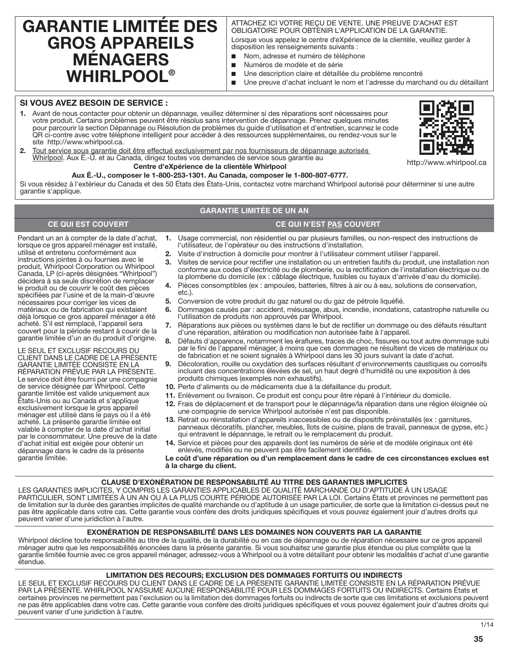## **GARANTIE LIMITÉE DES GROS APPAREILS MÉNAGERS WHIRLPOOL®**

## ATTACHEZ ICI VOTRE REÇU DE VENTE. UNE PREUVE D'ACHAT EST OBLIGATOIRE POUR OBTENIR L'APPLICATION DE LA GARANTIE.

Lorsque vous appelez le centre d'eXpérience de la clientèle, veuillez garder à disposition les renseignements suivants :

- Nom, adresse et numéro de téléphone
- Numéros de modèle et de série
- Une description claire et détaillée du problème rencontré
- Une preuve d'achat incluant le nom et l'adresse du marchand ou du détaillant

## **SI VOUS AVEZ BESOIN DE SERVICE :**

**1.** Avant de nous contacter pour obtenir un dépannage, veuillez déterminer si des réparations sont nécessaires pour votre produit. Certains problèmes peuvent être résolus sans intervention de dépannage. Prenez quelques minutes pour parcourir la section Dépannage ou Résolution de problèmes du guide d'utilisation et d'entretien, scannez le code QR ci-contre avec votre téléphone intelligent pour accéder à des ressources supplémentaires, ou rendez-vous sur le site http://www.whirlpool.ca.



http://www.whirlpool.ca

**2.** Tout service sous garantie doit être effectué exclusivement par nos fournisseurs de dépannage autorisés Whirlpool. Aux É.-U. et au Canada, dirigez toutes vos demandes de service sous garantie au

## **Centre d'eXpérience de la clientèle Whirlpool**

Si vous résidez à l'extérieur du Canada et des 50 États des États-Unis, contactez votre marchand Whirlpool autorisé pour déterminer si une autre garantie s'applique.

## **GARANTIE LIMITÉE DE UN AN**

## **CE QUI EST COUVERT CE QUI N'EST PAS COUVERT**

- **1.** Usage commercial, non résidentiel ou par plusieurs familles, ou non-respect des instructions de l'utilisateur, de l'opérateur ou des instructions d'installation.
- **2.** Visite d'instruction à domicile pour montrer à l'utilisateur comment utiliser l'appareil.
- **3.** Visites de service pour rectifier une installation ou un entretien fautifs du produit, une installation non conforme aux codes d'électricité ou de plomberie, ou la rectification de l'installation électrique ou de la plomberie du domicile (ex : câblage électrique, fusibles ou tuyaux d'arrivée d'eau du domicile).
- **4.** Pièces consomptibles (ex : ampoules, batteries, filtres à air ou à eau, solutions de conservation, etc.).
- **5.** Conversion de votre produit du gaz naturel ou du gaz de pétrole liquéfié.
- **6.** Dommages causés par : accident, mésusage, abus, incendie, inondations, catastrophe naturelle ou l'utilisation de produits non approuvés par Whirlpool.
- **7.** Réparations aux pièces ou systèmes dans le but de rectifier un dommage ou des défauts résultant d'une réparation, altération ou modification non autorisée faite à l'appareil.
- **8.** Défauts d'apparence, notamment les éraflures, traces de choc, fissures ou tout autre dommage subi par le fini de l'appareil ménager, à moins que ces dommages ne résultent de vices de matériaux ou de fabrication et ne soient signalés à Whirlpool dans les 30 jours suivant la date d'achat.
- **9.** Décoloration, rouille ou oxydation des surfaces résultant d'environnements caustiques ou corrosifs incluant des concentrations élevées de sel, un haut degré d'humidité ou une exposition à des produits chimiques (exemples non exhaustifs).
- **10.** Perte d'aliments ou de médicaments due à la défaillance du produit.
- **11.** Enlèvement ou livraison. Ce produit est conçu pour être réparé à l'intérieur du domicile.
- **12.** Frais de déplacement et de transport pour le dépannage/la réparation dans une région éloignée où une compagnie de service Whirlpool autorisée n'est pas disponible.
- **13.** Retrait ou réinstallation d'appareils inaccessibles ou de dispositifs préinstallés (ex : garnitures, panneaux décoratifs, plancher, meubles, îlots de cuisine, plans de travail, panneaux de gypse, etc.) qui entravent le dépannage, le retrait ou le remplacement du produit.
- **14.** Service et pièces pour des appareils dont les numéros de série et de modèle originaux ont été enlevés, modifiés ou ne peuvent pas être facilement identifiés.

**Le coût d'une réparation ou d'un remplacement dans le cadre de ces circonstances exclues est à la charge du client.** 

#### **CLAUSE D'EXONÉRATION DE RESPONSABILITÉ AU TITRE DES GARANTIES IMPLICITES**

LES GARANTIES IMPLICITES, Y COMPRIS LES GARANTIES APPLICABLES DE QUALITÉ MARCHANDE OU D'APTITUDE À UN USAGE PARTICULIER, SONT LIMITÉES À UN AN OU À LA PLUS COURTE PÉRIODE AUTORISÉE PAR LA LOI. Certains États et provinces ne permettent pas de limitation sur la durée des garanties implicites de qualité marchande ou d'aptitude à un usage particulier, de sorte que la limitation ci-dessus peut ne pas être applicable dans votre cas. Cette garantie vous confère des droits juridiques spécifiques et vous pouvez également jouir d'autres droits qui peuvent varier d'une juridiction à l'autre.

#### **EXONÉRATION DE RESPONSABILITÉ DANS LES DOMAINES NON COUVERTS PAR LA GARANTIE**

Whirlpool décline toute responsabilité au titre de la qualité, de la durabilité ou en cas de dépannage ou de réparation nécessaire sur ce gros appareil ménager autre que les responsabilités énoncées dans la présente garantie. Si vous souhaitez une garantie plus étendue ou plus complète que la garantie limitée fournie avec ce gros appareil ménager, adressez-vous à Whirlpool ou à votre détaillant pour obtenir les modalités d'achat d'une garantie étendue.

#### **LIMITATION DES RECOURS; EXCLUSION DES DOMMAGES FORTUITS OU INDIRECTS**

LE SEUL ET EXCLUSIF RECOURS DU CLIENT DANS LE CADRE DE LA PRÉSENTE GARANTIE LIMITÉE CONSISTE EN LA RÉPARATION PRÉVUE PAR LA PRÉSENTE. WHIRLPOOL N'ASSUME AUCUNE RESPONSABILITÉ POUR LES DOMMAGES FORTUITS OU INDIRECTS. Certains États et certaines provinces ne permettent pas l'exclusion ou la limitation des dommages fortuits ou indirects de sorte que ces limitations et exclusions peuvent ne pas être applicables dans votre cas. Cette garantie vous confère des droits juridiques spécifiques et vous pouvez également jouir d'autres droits qui peuvent varier d'une juridiction à l'autre.



**Aux É.-U., composer le 1-800-253-1301. Au Canada, composer le 1-800-807-6777.**

Pendant un an à compter de la date d'achat, lorsque ce gros appareil ménager est installé, utilisé et entretenu conformément aux instructions jointes à ou fournies avec le produit, Whirlpool Corporation ou Whirlpool Canada, LP (ci-après désignées "Whirlpool") décidera à sa seule discrétion de remplacer le produit ou de couvrir le coût des pièces spécifiées par l'usine et de la main-d'œuvre nécessaires pour corriger les vices de matériaux ou de fabrication qui existaient déjà lorsque ce gros appareil ménager a été acheté. S'il est remplacé, l'appareil sera couvert pour la période restant à courir de la garantie limitée d'un an du produit d'origine. LE SEUL ET EXCLUSIF RECOURS DU CLIENT DANS LE CADRE DE LA PRÉSENTE GARANTIE LIMITÉE CONSISTE EN LA RÉPARATION PRÉVUE PAR LA PRÉSENTE. Le service doit être fourni par une compagnie de service désignée par Whirlpool. Cette garantie limitée est valide uniquement aux États-Unis ou au Canada et s'applique exclusivement lorsque le gros appareil ménager est utilisé dans le pays où il a été acheté. La présente garantie limitée est valable à compter de la date d'achat initial par le consommateur. Une preuve de la date d'achat initial est exigée pour obtenir un dépannage dans le cadre de la présente

garantie limitée.